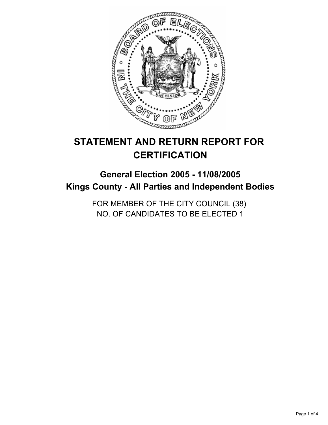

# **STATEMENT AND RETURN REPORT FOR CERTIFICATION**

# **General Election 2005 - 11/08/2005 Kings County - All Parties and Independent Bodies**

FOR MEMBER OF THE CITY COUNCIL (38) NO. OF CANDIDATES TO BE ELECTED 1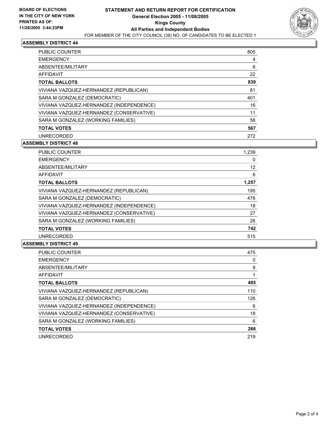

### **ASSEMBLY DISTRICT 44**

| <b>PUBLIC COUNTER</b>                    | 805 |
|------------------------------------------|-----|
| <b>EMERGENCY</b>                         |     |
| ABSENTEE/MILITARY                        | 8   |
| <b>AFFIDAVIT</b>                         | 22  |
| <b>TOTAL BALLOTS</b>                     | 839 |
| VIVIANA VAZQUEZ-HERNANDEZ (REPUBLICAN)   | 81  |
| SARA M GONZALEZ (DEMOCRATIC)             | 401 |
| VIVIANA VAZQUEZ-HERNANDEZ (INDEPENDENCE) | 16  |
| VIVIANA VAZQUEZ-HERNANDEZ (CONSERVATIVE) | 11  |
| SARA M GONZALEZ (WORKING FAMILIES)       | 58  |
| <b>TOTAL VOTES</b>                       | 567 |
| <b>UNRECORDED</b>                        | 272 |

#### **ASSEMBLY DISTRICT 48**

| <b>PUBLIC COUNTER</b>                    | 1,239 |
|------------------------------------------|-------|
| <b>EMERGENCY</b>                         |       |
| ABSENTEE/MILITARY                        | 12    |
| AFFIDAVIT                                | 6     |
| <b>TOTAL BALLOTS</b>                     | 1,257 |
| VIVIANA VAZQUEZ-HERNANDEZ (REPUBLICAN)   | 195   |
| SARA M GONZALEZ (DEMOCRATIC)             | 476   |
| VIVIANA VAZQUEZ-HERNANDEZ (INDEPENDENCE) | 18    |
| VIVIANA VAZQUEZ-HERNANDEZ (CONSERVATIVE) | 27    |
| SARA M GONZALEZ (WORKING FAMILIES)       | 26    |
| <b>TOTAL VOTES</b>                       | 742   |
| <b>UNRECORDED</b>                        | 515   |

#### **ASSEMBLY DISTRICT 49**

| <b>PUBLIC COUNTER</b>                    | 475 |
|------------------------------------------|-----|
| <b>EMERGENCY</b>                         | 0   |
| ABSENTEE/MILITARY                        | 9   |
| <b>AFFIDAVIT</b>                         |     |
| <b>TOTAL BALLOTS</b>                     | 485 |
| VIVIANA VAZQUEZ-HERNANDEZ (REPUBLICAN)   | 110 |
| SARA M GONZALEZ (DEMOCRATIC)             | 126 |
| VIVIANA VAZQUEZ-HERNANDEZ (INDEPENDENCE) | 6   |
| VIVIANA VAZQUEZ-HERNANDEZ (CONSERVATIVE) | 18  |
| SARA M GONZALEZ (WORKING FAMILIES)       | 6   |
| <b>TOTAL VOTES</b>                       | 266 |
| <b>UNRECORDED</b>                        | 219 |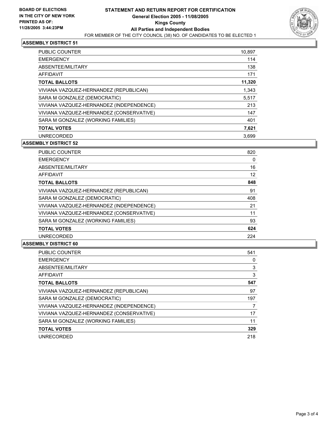

### **ASSEMBLY DISTRICT 51**

| PUBLIC COUNTER                           | 10,897 |
|------------------------------------------|--------|
| <b>EMERGENCY</b>                         | 114    |
| ABSENTEE/MILITARY                        | 138    |
| AFFIDAVIT                                | 171    |
| <b>TOTAL BALLOTS</b>                     | 11,320 |
| VIVIANA VAZQUEZ-HERNANDEZ (REPUBLICAN)   | 1,343  |
| SARA M GONZALEZ (DEMOCRATIC)             | 5.517  |
| VIVIANA VAZQUEZ-HERNANDEZ (INDEPENDENCE) | 213    |
| VIVIANA VAZQUEZ-HERNANDEZ (CONSERVATIVE) | 147    |
| SARA M GONZALEZ (WORKING FAMILIES)       | 401    |
| <b>TOTAL VOTES</b>                       | 7,621  |
| <b>UNRECORDED</b>                        | 3.699  |

#### **ASSEMBLY DISTRICT 52**

| PUBLIC COUNTER                           | 820 |
|------------------------------------------|-----|
| <b>EMERGENCY</b>                         | 0   |
| ABSENTEE/MILITARY                        | 16  |
| AFFIDAVIT                                | 12  |
| <b>TOTAL BALLOTS</b>                     | 848 |
| VIVIANA VAZQUEZ-HERNANDEZ (REPUBLICAN)   | 91  |
| SARA M GONZALEZ (DEMOCRATIC)             | 408 |
| VIVIANA VAZQUEZ-HERNANDEZ (INDEPENDENCE) | 21  |
| VIVIANA VAZQUEZ-HERNANDEZ (CONSERVATIVE) | 11  |
| SARA M GONZALEZ (WORKING FAMILIES)       | 93  |
| <b>TOTAL VOTES</b>                       | 624 |
| <b>UNRECORDED</b>                        | 224 |

#### **ASSEMBLY DISTRICT 60**

| <b>PUBLIC COUNTER</b>                    | 541 |
|------------------------------------------|-----|
| <b>EMERGENCY</b>                         | 0   |
| ABSENTEE/MILITARY                        | 3   |
| <b>AFFIDAVIT</b>                         | 3   |
| <b>TOTAL BALLOTS</b>                     | 547 |
| VIVIANA VAZQUEZ-HERNANDEZ (REPUBLICAN)   | 97  |
| SARA M GONZALEZ (DEMOCRATIC)             | 197 |
| VIVIANA VAZQUEZ-HERNANDEZ (INDEPENDENCE) |     |
| VIVIANA VAZQUEZ-HERNANDEZ (CONSERVATIVE) | 17  |
| SARA M GONZALEZ (WORKING FAMILIES)       | 11  |
| <b>TOTAL VOTES</b>                       | 329 |
| <b>UNRECORDED</b>                        | 218 |